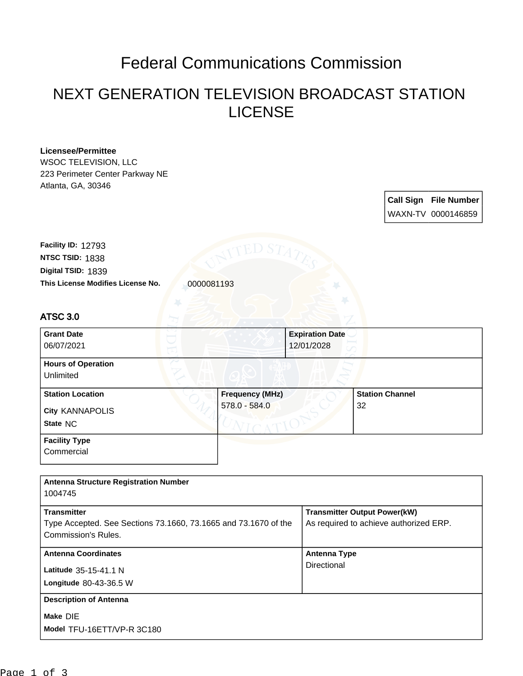## Federal Communications Commission

## NEXT GENERATION TELEVISION BROADCAST STATION LICENSE

## **Licensee/Permittee**

WSOC TELEVISION, LLC 223 Perimeter Center Parkway NE Atlanta, GA, 30346

> **Call Sign File Number** WAXN-TV 0000146859

**This License Modifies License No.** 0000081193 **Digital TSID:** 1839 **NTSC TSID:** 1838 **Facility ID:** 12793

## ATSC 3.0

| <b>Grant Date</b>                      | <b>Expiration Date</b> |                        |
|----------------------------------------|------------------------|------------------------|
| 06/07/2021                             | 12/01/2028             |                        |
| <b>Hours of Operation</b><br>Unlimited |                        |                        |
| <b>Station Location</b>                | <b>Frequency (MHz)</b> | <b>Station Channel</b> |
| <b>City KANNAPOLIS</b>                 | 578.0 - 584.0          | 32                     |
| State NC                               |                        |                        |
| <b>Facility Type</b>                   |                        |                        |
| Commercial                             |                        |                        |

| <b>Antenna Structure Registration Number</b><br>1004745                                                      |                                                                               |
|--------------------------------------------------------------------------------------------------------------|-------------------------------------------------------------------------------|
| <b>Transmitter</b><br>Type Accepted. See Sections 73.1660, 73.1665 and 73.1670 of the<br>Commission's Rules. | <b>Transmitter Output Power(kW)</b><br>As required to achieve authorized ERP. |
| <b>Antenna Coordinates</b><br>Latitude 35-15-41.1 N<br><b>Longitude 80-43-36.5 W</b>                         | <b>Antenna Type</b><br>Directional                                            |
| <b>Description of Antenna</b><br>Make DIE<br>Model TFU-16ETT/VP-R 3C180                                      |                                                                               |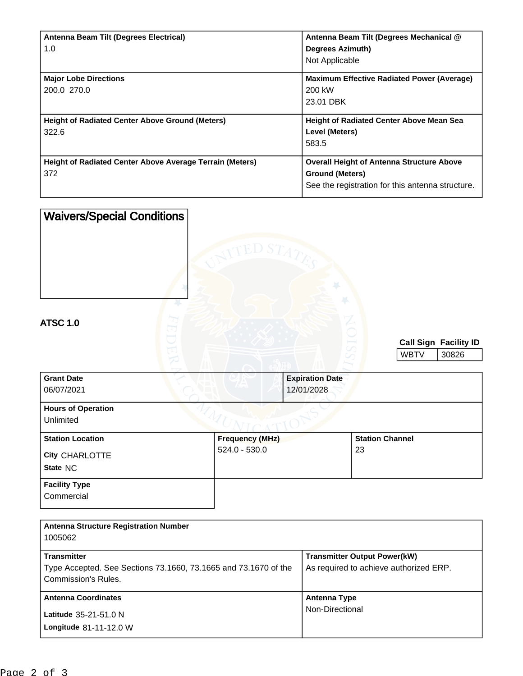| Antenna Beam Tilt (Degrees Electrical)                          | Antenna Beam Tilt (Degrees Mechanical @           |
|-----------------------------------------------------------------|---------------------------------------------------|
| 1.0                                                             | <b>Degrees Azimuth)</b>                           |
|                                                                 | Not Applicable                                    |
| <b>Major Lobe Directions</b>                                    | <b>Maximum Effective Radiated Power (Average)</b> |
| 200.0 270.0                                                     | 200 kW                                            |
|                                                                 | 23.01 DBK                                         |
|                                                                 |                                                   |
| <b>Height of Radiated Center Above Ground (Meters)</b>          | <b>Height of Radiated Center Above Mean Sea</b>   |
| 322.6                                                           | Level (Meters)                                    |
|                                                                 | 583.5                                             |
| <b>Height of Radiated Center Above Average Terrain (Meters)</b> | <b>Overall Height of Antenna Structure Above</b>  |
| 372                                                             | <b>Ground (Meters)</b>                            |
|                                                                 | See the registration for this antenna structure.  |

| <b>Waivers/Special Conditions</b>                     |                 | `ED ST4                              |    |                        |                                       |
|-------------------------------------------------------|-----------------|--------------------------------------|----|------------------------|---------------------------------------|
| <b>ATSC 1.0</b>                                       |                 |                                      |    | <b>WBTV</b>            | <b>Call Sign Facility ID</b><br>30826 |
| <b>Grant Date</b><br>06/07/2021                       |                 | <b>Expiration Date</b><br>12/01/2028 |    |                        |                                       |
| <b>Hours of Operation</b><br>Unlimited                |                 |                                      |    |                        |                                       |
| <b>Station Location</b><br>City CHARLOTTE<br>State NC | $524.0 - 530.0$ | <b>Frequency (MHz)</b>               | 23 | <b>Station Channel</b> |                                       |
| <b>Facility Type</b><br>Commercial                    |                 |                                      |    |                        |                                       |

| <b>Antenna Structure Registration Number</b><br>1005062         |                                        |
|-----------------------------------------------------------------|----------------------------------------|
| <b>Transmitter</b>                                              | <b>Transmitter Output Power(kW)</b>    |
| Type Accepted. See Sections 73.1660, 73.1665 and 73.1670 of the | As required to achieve authorized ERP. |
| Commission's Rules.                                             |                                        |
| <b>Antenna Coordinates</b>                                      | Antenna Type                           |
| Latitude 35-21-51.0 N<br>Longitude 81-11-12.0 W                 | Non-Directional                        |